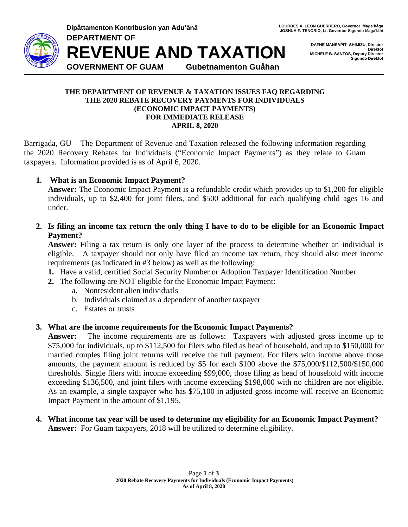

**Dipåttamenton Kontribusion yan Adu'ånå LOURDES ALLEON GUERRERO, Governor Maga**'håga **DEPARTMENT OF REVENUE AND TAXATION GOVERNMENT OF GUAM Gubetnamenton Guåhan**

**DAFNE MANSAPIT- SHIMIZU, Director Direktot MICHELE B. SANTOS, Deputy Director Sigundo Direktot**

### **THE DEPARTMENT OF REVENUE & TAXATION ISSUES FAQ REGARDING THE 2020 REBATE RECOVERY PAYMENTS FOR INDIVIDUALS (ECONOMIC IMPACT PAYMENTS) FOR IMMEDIATE RELEASE APRIL 8, 2020**

Barrigada, GU – The Department of Revenue and Taxation released the following information regarding the 2020 Recovery Rebates for Individuals ("Economic Impact Payments") as they relate to Guam taxpayers. Information provided is as of April 6, 2020.

# **1. What is an Economic Impact Payment?**

**Answer:** The Economic Impact Payment is a refundable credit which provides up to \$1,200 for eligible individuals, up to \$2,400 for joint filers, and \$500 additional for each qualifying child ages 16 and under.

**2. Is filing an income tax return the only thing I have to do to be eligible for an Economic Impact Payment?**

**Answer:** Filing a tax return is only one layer of the process to determine whether an individual is eligible. A taxpayer should not only have filed an income tax return, they should also meet income requirements (as indicated in #3 below) as well as the following:

- **1.** Have a valid, certified Social Security Number or Adoption Taxpayer Identification Number
- **2.** The following are NOT eligible for the Economic Impact Payment:
	- a. Nonresident alien individuals
	- b. Individuals claimed as a dependent of another taxpayer
	- c. Estates or trusts

# **3. What are the income requirements for the Economic Impact Payments?**

**Answer:** The income requirements are as follows: Taxpayers with adjusted gross income up to \$75,000 for individuals, up to \$112,500 for filers who filed as head of household, and up to \$150,000 for married couples filing joint returns will receive the full payment. For filers with income above those amounts, the payment amount is reduced by \$5 for each \$100 above the \$75,000/\$112,500/\$150,000 thresholds. Single filers with income exceeding \$99,000, those filing as head of household with income exceeding \$136,500, and joint filers with income exceeding \$198,000 with no children are not eligible. As an example, a single taxpayer who has \$75,100 in adjusted gross income will receive an Economic Impact Payment in the amount of \$1,195.

**4. What income tax year will be used to determine my eligibility for an Economic Impact Payment? Answer:** For Guam taxpayers, 2018 will be utilized to determine eligibility.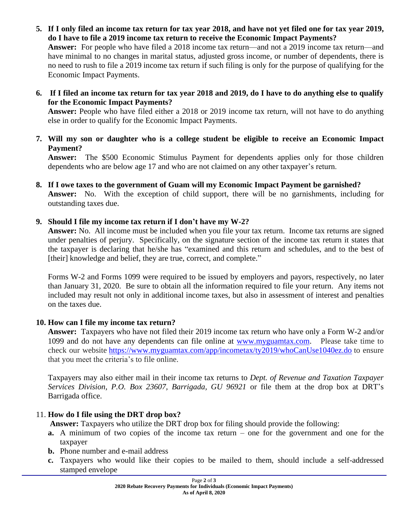- **5. If I only filed an income tax return for tax year 2018, and have not yet filed one for tax year 2019, do I have to file a 2019 income tax return to receive the Economic Impact Payments? Answer:** For people who have filed a 2018 income tax return—and not a 2019 income tax return—and have minimal to no changes in marital status, adjusted gross income, or number of dependents, there is no need to rush to file a 2019 income tax return if such filing is only for the purpose of qualifying for the Economic Impact Payments.
- **6. If I filed an income tax return for tax year 2018 and 2019, do I have to do anything else to qualify for the Economic Impact Payments?**

**Answer:** People who have filed either a 2018 or 2019 income tax return, will not have to do anything else in order to qualify for the Economic Impact Payments.

**7. Will my son or daughter who is a college student be eligible to receive an Economic Impact Payment?**

**Answer:** The \$500 Economic Stimulus Payment for dependents applies only for those children dependents who are below age 17 and who are not claimed on any other taxpayer's return.

**8. If I owe taxes to the government of Guam will my Economic Impact Payment be garnished? Answer:** No. With the exception of child support, there will be no garnishments, including for outstanding taxes due.

# **9. Should I file my income tax return if I don't have my W-2?**

**Answer:** No. All income must be included when you file your tax return. Income tax returns are signed under penalties of perjury. Specifically, on the signature section of the income tax return it states that the taxpayer is declaring that he/she has "examined and this return and schedules, and to the best of [their] knowledge and belief, they are true, correct, and complete."

Forms W-2 and Forms 1099 were required to be issued by employers and payors, respectively, no later than January 31, 2020. Be sure to obtain all the information required to file your return. Any items not included may result not only in additional income taxes, but also in assessment of interest and penalties on the taxes due.

# **10. How can I file my income tax return?**

**Answer:** Taxpayers who have not filed their 2019 income tax return who have only a Form W-2 and/or 1099 and do not have any dependents can file online at [www.myguamtax.com.](http://www.myguamtax.com/) Please take time to check our website <https://www.myguamtax.com/app/incometax/ty2019/whoCanUse1040ez.do> to ensure that you meet the criteria's to file online.

Taxpayers may also either mail in their income tax returns to *Dept. of Revenue and Taxation Taxpayer Services Division, P.O. Box 23607, Barrigada, GU 96921* or file them at the drop box at DRT's Barrigada office.

# 11. **How do I file using the DRT drop box?**

**Answer:** Taxpayers who utilize the DRT drop box for filing should provide the following:

- **a.** A minimum of two copies of the income tax return one for the government and one for the taxpayer
- **b.** Phone number and e-mail address
- **c.** Taxpayers who would like their copies to be mailed to them, should include a self-addressed stamped envelope